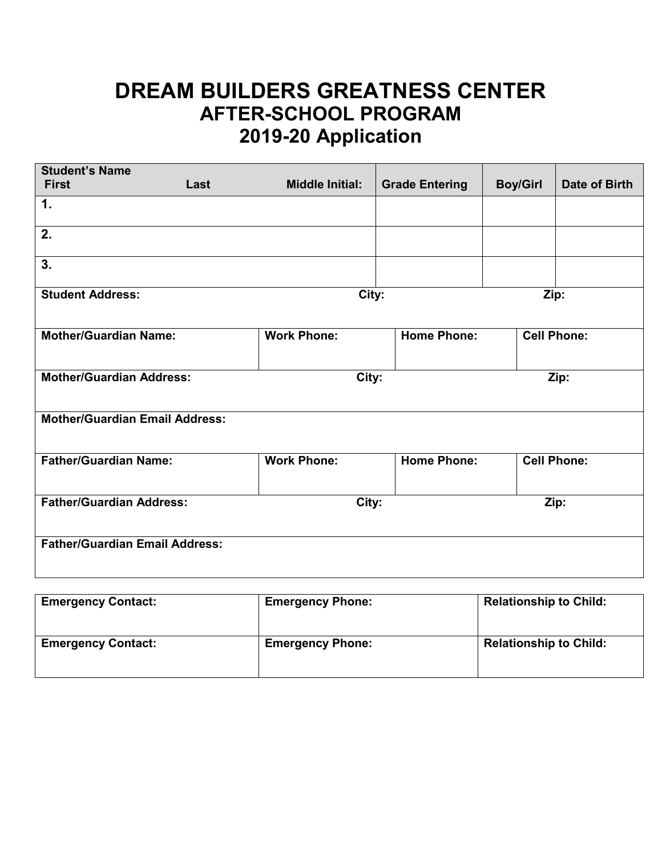## **DREAM BUILDERS GREATNESS CENTER AFTER-SCHOOL PROGRAM 2019-20 Application**

| <b>Student's Name</b><br><b>First</b>    | Last | <b>Middle Initial:</b> | <b>Grade Entering</b> | <b>Boy/Girl</b> | Date of Birth      |  |
|------------------------------------------|------|------------------------|-----------------------|-----------------|--------------------|--|
| 1.                                       |      |                        |                       |                 |                    |  |
| 2.                                       |      |                        |                       |                 |                    |  |
| 3.                                       |      |                        |                       |                 |                    |  |
| <b>Student Address:</b><br>City:<br>Zip: |      |                        |                       |                 |                    |  |
| <b>Mother/Guardian Name:</b>             |      | <b>Work Phone:</b>     | <b>Home Phone:</b>    |                 | <b>Cell Phone:</b> |  |
| <b>Mother/Guardian Address:</b>          |      | City:                  |                       | Zip:            |                    |  |
| <b>Mother/Guardian Email Address:</b>    |      |                        |                       |                 |                    |  |
| <b>Father/Guardian Name:</b>             |      | <b>Work Phone:</b>     | <b>Home Phone:</b>    |                 | <b>Cell Phone:</b> |  |
| <b>Father/Guardian Address:</b>          |      | City:                  |                       |                 | Zip:               |  |
| <b>Father/Guardian Email Address:</b>    |      |                        |                       |                 |                    |  |

| <b>Emergency Contact:</b> | <b>Emergency Phone:</b> | <b>Relationship to Child:</b> |
|---------------------------|-------------------------|-------------------------------|
| <b>Emergency Contact:</b> | <b>Emergency Phone:</b> | <b>Relationship to Child:</b> |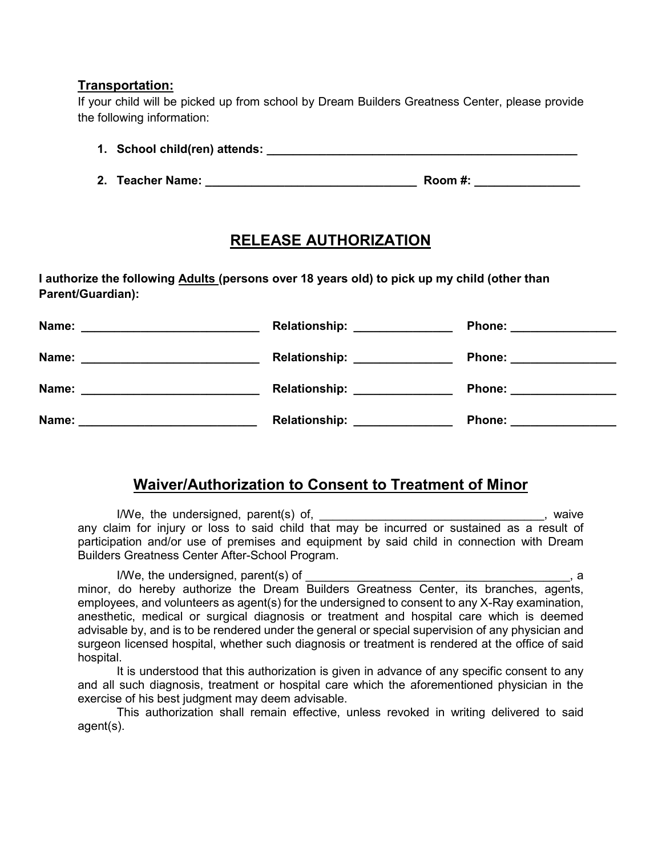## **Transportation:**

If your child will be picked up from school by Dream Builders Greatness Center, please provide the following information:

- **1. School child(ren) attends: \_\_\_\_\_\_\_\_\_\_\_\_\_\_\_\_\_\_\_\_\_\_\_\_\_\_\_\_\_\_\_\_\_\_\_\_\_\_\_\_\_\_\_\_\_\_\_**
- **2. Teacher Name: \_\_\_\_\_\_\_\_\_\_\_\_\_\_\_\_\_\_\_\_\_\_\_\_\_\_\_\_\_\_\_\_ Room #: \_\_\_\_\_\_\_\_\_\_\_\_\_\_\_\_**

## **RELEASE AUTHORIZATION**

**I authorize the following Adults (persons over 18 years old) to pick up my child (other than Parent/Guardian):**

| Name:<br><u> 1989 - Johann Barn, margaret eta industrial eta industrial eta industrial eta industrial eta industrial eta i</u> | <b>Relationship:</b><br><u> 1990 - Johann Barbara, martxa al</u> | Phone: _______________   |
|--------------------------------------------------------------------------------------------------------------------------------|------------------------------------------------------------------|--------------------------|
| Name:                                                                                                                          | <b>Relationship:</b>                                             | Phone: <b>Example 20</b> |
| Name:                                                                                                                          | <b>Relationship:</b>                                             | <b>Phone:</b>            |
| <u> 1989 - Johann Barn, mars ann an t-Amhain an t-Amhain an t-Amhain an t-Amhain an t-Amhain an t-Amhain an t-Amh</u>          |                                                                  |                          |
| Name:                                                                                                                          | <b>Relationship:</b>                                             | <b>Phone:</b>            |
|                                                                                                                                |                                                                  |                          |

## **Waiver/Authorization to Consent to Treatment of Minor**

I/We, the undersigned, parent(s) of, 1.1 and 1.1 and 1.1 and 1.1 and 1.1 and 1.1 and 1.1 and 1.1 and 1.1 and 1 any claim for injury or loss to said child that may be incurred or sustained as a result of participation and/or use of premises and equipment by said child in connection with Dream Builders Greatness Center After-School Program.

I/We, the undersigned, parent(s) of \_\_\_\_\_\_\_\_\_\_\_\_\_\_\_\_\_\_\_\_\_\_\_\_\_\_\_\_\_\_\_\_\_\_\_\_\_\_\_\_, a minor, do hereby authorize the Dream Builders Greatness Center, its branches, agents, employees, and volunteers as agent(s) for the undersigned to consent to any X-Ray examination, anesthetic, medical or surgical diagnosis or treatment and hospital care which is deemed advisable by, and is to be rendered under the general or special supervision of any physician and surgeon licensed hospital, whether such diagnosis or treatment is rendered at the office of said hospital.

It is understood that this authorization is given in advance of any specific consent to any and all such diagnosis, treatment or hospital care which the aforementioned physician in the exercise of his best judgment may deem advisable.

This authorization shall remain effective, unless revoked in writing delivered to said agent(s).